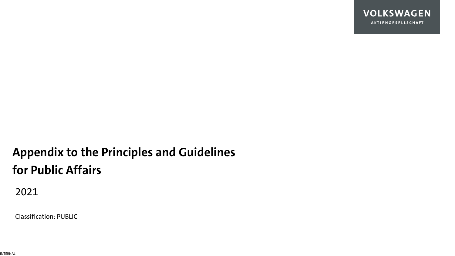

# **Appendix to the Principles and Guidelines for Public Affairs**

2021

Classification: PUBLIC

INTERNAL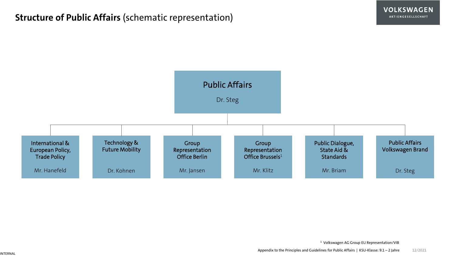### **Structure of Public Affairs** (schematic representation)



<sup>1</sup> Volkswagen AG Group EU Representation/VIB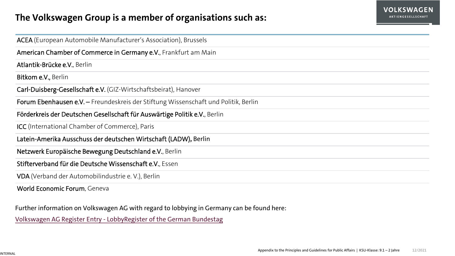### **The Volkswagen Group is a member of organisations such as:**

| ACEA (European Automobile Manufacturer's Association), Brussels                     |  |  |
|-------------------------------------------------------------------------------------|--|--|
| American Chamber of Commerce in Germany e.V., Frankfurt am Main                     |  |  |
| Atlantik-Brücke e.V., Berlin                                                        |  |  |
| Bitkom e.V., Berlin                                                                 |  |  |
| Carl-Duisberg-Gesellschaft e.V. (GIZ-Wirtschaftsbeirat), Hanover                    |  |  |
| Forum Ebenhausen e.V. - Freundeskreis der Stiftung Wissenschaft und Politik, Berlin |  |  |
| Förderkreis der Deutschen Gesellschaft für Auswärtige Politik e.V., Berlin          |  |  |
| <b>ICC</b> (International Chamber of Commerce), Paris                               |  |  |
| Latein-Amerika Ausschuss der deutschen Wirtschaft (LADW), Berlin                    |  |  |
| Netzwerk Europäische Bewegung Deutschland e.V., Berlin                              |  |  |
| Stifterverband für die Deutsche Wissenschaft e.V., Essen                            |  |  |
| VDA (Verband der Automobilindustrie e.V.), Berlin                                   |  |  |
| World Economic Forum, Geneva                                                        |  |  |

Further information on Volkswagen AG with regard to lobbying in Germany can be found here:

Volkswagen AG Register Entry - [LobbyRegister of the German Bundestag](https://www.lobbyregister.bundestag.de/suche/R001681/1334?backUrl=%2Fsuche%3Fq%3DVolkswagen%2BAG%26page%3D1%26pageSize%3D10%26sort%3DREGISTRATION_DESC)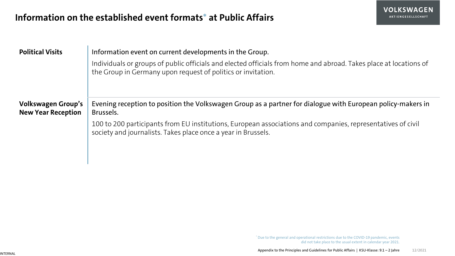### **Information on the established event formats\* at Public Affairs**

| <b>VOLKSWAGEN</b>  |
|--------------------|
| AKTIENGESELLSCHAFT |

| <b>Political Visits</b>                                | Information event on current developments in the Group.<br>Individuals or groups of public officials and elected officials from home and abroad. Takes place at locations of<br>the Group in Germany upon request of politics or invitation. |
|--------------------------------------------------------|----------------------------------------------------------------------------------------------------------------------------------------------------------------------------------------------------------------------------------------------|
| <b>Volkswagen Group's</b><br><b>New Year Reception</b> | Evening reception to position the Volkswagen Group as a partner for dialogue with European policy-makers in<br>Brussels.<br>100 to 200 participants from EU institutions, European associations and companies, representatives of civil      |
|                                                        | society and journalists. Takes place once a year in Brussels.                                                                                                                                                                                |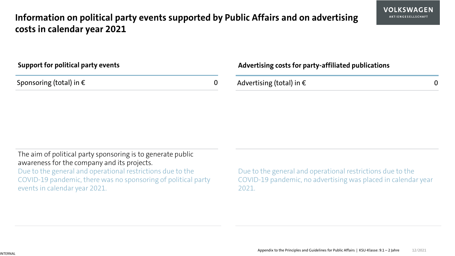### **Information on political party events supported by Public Affairs and on advertising costs in calendar year 2021**

| Support for political party events | <b>Advertis</b> |
|------------------------------------|-----------------|
| Sponsoring (total) in $\epsilon$   | Advertis        |

#### **Advertising costs for party-affiliated publications**

| Advertising (total) in $\epsilon$ |  |
|-----------------------------------|--|
|-----------------------------------|--|

The aim of political party sponsoring is to generate public awareness for the company and its projects. Due to the general and operational restrictions due to the COVID-19 pandemic, there was no sponsoring of political party events in calendar year 2021.

Due to the general and operational restrictions due to the COVID-19 pandemic, no advertising was placed in calendar year 2021.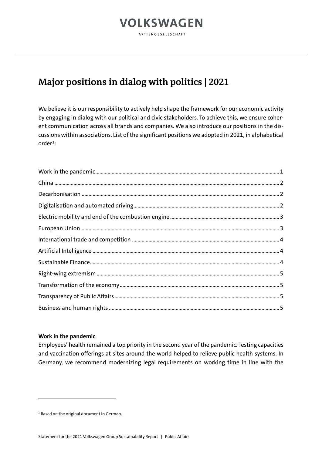AKTIENGESELLSCHAFT

### **Major positions in dialog with politics | 2021**

We believe it is our responsibility to actively help shape the framework for our economic activity by engaging in dialog with our political and civic stakeholders. To achieve this, we ensure coherent communication across all brands and companies. We also introduce our positions in the discussions within associations. List of the significant positions we adopted in 2021, in alphabetical  $order<sup>1</sup>$ :

#### <span id="page-5-0"></span>**Work in the pandemic**

Employees' health remained a top priority in the second year of the pandemic. Testing capacities and vaccination offerings at sites around the world helped to relieve public health systems. In Germany, we recommend modernizing legal requirements on working time in line with the

<span id="page-5-1"></span><sup>&</sup>lt;sup>1</sup> Based on the original document in German.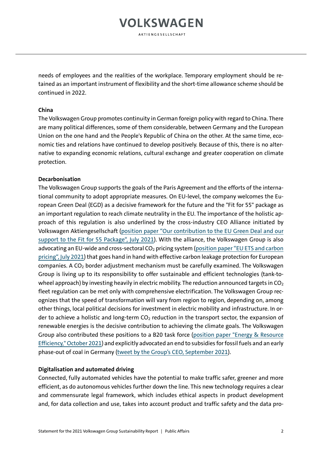AKTIENGESELLSCHAFT

needs of employees and the realities of the workplace. Temporary employment should be retained as an important instrument of flexibility and the short-time allowance scheme should be continued in 2022.

#### <span id="page-6-0"></span>**China**

The Volkswagen Group promotes continuity in German foreign policy with regard to China. There are many political differences, some of them considerable, between Germany and the European Union on the one hand and the People's Republic of China on the other. At the same time, economic ties and relations have continued to develop positively. Because of this, there is no alternative to expanding economic relations, cultural exchange and greater cooperation on climate protection.

#### <span id="page-6-1"></span>**Decarbonisation**

The Volkswagen Group supports the goals of the Paris Agreement and the efforts of the international community to adopt appropriate measures. On EU-level, the company welcomes the European Green Deal (EGD) as a decisive framework for the future and the "Fit for 55" package as an important regulation to reach climate neutrality in the EU. The importance of the holistic approach of this regulation is also underlined by the cross-industry CEO Alliance initiated by Volkswagen Aktiengesellschaft (position [paper "Our contribution to the EU Green Deal](https://uploads.volkswagen-newsroom.com/system/production/uploaded_files/17474/file/02ea4ffaa15af3d754552692ccd973b3e34041d4/CEO_Alliance_Policy_Letter_Fit_for_55.pdf?1625732193) and our [support to the Fit for 55 Package", July](https://uploads.volkswagen-newsroom.com/system/production/uploaded_files/17474/file/02ea4ffaa15af3d754552692ccd973b3e34041d4/CEO_Alliance_Policy_Letter_Fit_for_55.pdf?1625732193) 2021). With the alliance, the Volkswagen Group is also advocating an EU-wide and cross-sectoral CO<sub>2</sub> pricing system (position paper "EU ETS and carbon [pricing", July](https://uploads.volkswagen-newsroom.com/system/production/uploaded_files/17476/file/2ba794f80fb22284e010283ba25e5237f929c5b9/CEO_Alliance_Position_on_EU_ETS.pdf?1625732194) 2021) that goes hand in hand with effective carbon leakage protection for European companies. A CO<sub>2</sub> border adjustment mechanism must be carefully examined. The Volkswagen Group is living up to its responsibility to offer sustainable and efficient technologies (tank-towheel approach) by investing heavily in electric mobility. The reduction announced targets in  $CO<sub>2</sub>$ fleet regulation can be met only with comprehensive electrification. The Volkswagen Group recognizes that the speed of transformation will vary from region to region, depending on, among other things, local political decisions for investment in electric mobility and infrastructure. In order to achieve a holistic and long-term  $CO<sub>2</sub>$  reduction in the transport sector, the expansion of renewable energies is the decisive contribution to achieving the climate goals. The Volkswagen Group also contributed these positions to a B20 task force [\(position paper "Energy & Resource](https://www.b20italy2021.org/wp-content/uploads/2021/10/B20_EnergyResEff.pdf)  [Efficiency," October 2021\)](https://www.b20italy2021.org/wp-content/uploads/2021/10/B20_EnergyResEff.pdf) and explicitly advocated an end to subsidies for fossil fuels and an early phase-out of coal in Germany [\(tweet by the Group's CEO, September 2021\)](https://twitter.com/Herbert_Diess/status/1442460490458808320?s=20).

#### <span id="page-6-2"></span>**Digitalisation and automated driving**

Connected, fully automated vehicles have the potential to make traffic safer, greener and more efficient, as do autonomous vehicles further down the line. This new technology requires a clear and commensurate legal framework, which includes ethical aspects in product development and, for data collection and use, takes into account product and traffic safety and the data pro-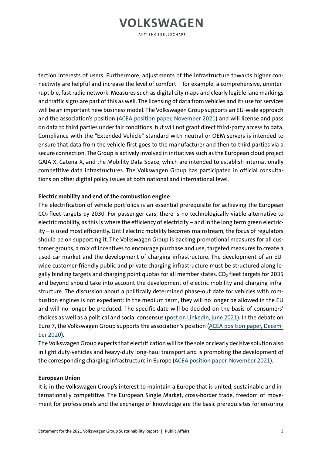**AKTIENGESELLSCHAFT** 

tection interests of users. Furthermore, adjustments of the infrastructure towards higher connectivity are helpful and increase the level of comfort – for example, a comprehensive, uninterruptible, fast radio network. Measures such as digital city maps and clearly legible lane markings and traffic signs are part of this as well. The licensing of data from vehicles and its use for services will be an important new business model. The Volkswagen Group supports an EU-wide approach and the association's position [\(ACEA position paper, November 2021\)](https://www.acea.auto/files/ACEA_position_paper-Access_to_in-vehicle_data.pdf) and will license and pass on data to third parties under fair conditions, but will not grant direct third-party access to data. Compliance with the "Extended Vehicle" standard with neutral or OEM servers is intended to ensure that data from the vehicle first goes to the manufacturer and then to third parties via a secure connection. The Group is actively involved in initiatives such as the European cloud project GAIA-X, Catena-X, and the Mobility Data Space, which are intended to establish internationally competitive data infrastructures. The Volkswagen Group has participated in official consultations on other digital policy issues at both national and international level.

#### <span id="page-7-0"></span>**Electric mobility and end of the combustion engine**

The electrification of vehicle portfolios is an essential prerequisite for achieving the European  $CO<sub>2</sub>$  fleet targets by 2030. For passenger cars, there is no technologically viable alternative to electric mobility, as this is where the efficiency of electricity – and in the long term green electricity – is used most efficiently. Until electric mobility becomes mainstream, the focus of regulators should be on supporting it. The Volkswagen Group is backing promotional measures for all customer groups, a mix of incentives to encourage purchase and use, targeted measures to create a used car market and the development of charging infrastructure. The development of an EUwide customer-friendly public and private charging infrastructure must be structured along legally binding targets and charging point quotas for all member states.  $CO<sub>2</sub>$  fleet targets for 2035 and beyond should take into account the development of electric mobility and charging infrastructure. The discussion about a politically determined phase-out date for vehicles with combustion engines is not expedient: In the medium term, they will no longer be allowed in the EU and will no longer be produced. The specific date will be decided on the basis of consumers' choices as well as a political and social consensus [\(post on LinkedIn, June 2021\)](https://www.linkedin.com/posts/volkswagen-ag_vwgroup-volkswagen-activity-6813424058126921728-LWiW/). In the debate on Euro 7, the Volkswagen Group supports the association's position [\(ACEA position paper, Decem](https://www.acea.auto/files/ACEA_Position_Paper-Views_on_proposals_for_Euro_7_emission_standard.pdf)[ber 2020\)](https://www.acea.auto/files/ACEA_Position_Paper-Views_on_proposals_for_Euro_7_emission_standard.pdf).

The Volkswagen Group expects that electrification will be the sole or clearly decisive solution also in light duty-vehicles and heavy-duty long-haul transport and is promoting the development of the corresponding charging infrastructure in Europe [\(ACEA position paper, November 2021\)](https://www.acea.auto/files/ACEA_Position_Paper-Revision_CO2_targets_cars_vans.pdf).

#### <span id="page-7-1"></span>**European Union**

It is in the Volkswagen Group's interest to maintain a Europe that is united, sustainable and internationally competitive. The European Single Market, cross-border trade, freedom of movement for professionals and the exchange of knowledge are the basic prerequisites for ensuring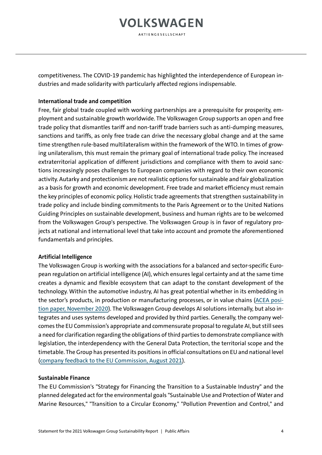**AKTIENGESELLSCHAFT** 

competitiveness. The COVID-19 pandemic has highlighted the interdependence of European industries and made solidarity with particularly affected regions indispensable.

#### <span id="page-8-0"></span>**International trade and competition**

Free, fair global trade coupled with working partnerships are a prerequisite for prosperity, employment and sustainable growth worldwide. The Volkswagen Group supports an open and free trade policy that dismantles tariff and non-tariff trade barriers such as anti-dumping measures, sanctions and tariffs, as only free trade can drive the necessary global change and at the same time strengthen rule-based multilateralism within the framework of the WTO. In times of growing unilateralism, this must remain the primary goal of international trade policy. The increased extraterritorial application of different jurisdictions and compliance with them to avoid sanctions increasingly poses challenges to European companies with regard to their own economic activity. Autarky and protectionism are not realistic options for sustainable and fair globalization as a basis for growth and economic development. Free trade and market efficiency must remain the key principles of economic policy. Holistic trade agreements that strengthen sustainability in trade policy and include binding commitments to the Paris Agreement or to the United Nations Guiding Principles on sustainable development, business and human rights are to be welcomed from the Volkswagen Group's perspective. The Volkswagen Group is in favor of regulatory projects at national and international level that take into account and promote the aforementioned fundamentals and principles.

#### <span id="page-8-1"></span>**Artificial Intelligence**

The Volkswagen Group is working with the associations for a balanced and sector-specific European regulation on artificial intelligence (AI), which ensures legal certainty and at the same time creates a dynamic and flexible ecosystem that can adapt to the constant development of the technology. Within the automotive industry, AI has great potential whether in its embedding in the sector's products, in production or manufacturing processes, or in value chains [\(ACEA posi](https://www.acea.auto/files/ACEA_Position_Paper-Artificial_Intelligence_in_the_automotive_industry.pdf)[tion paper, November 2020\)](https://www.acea.auto/files/ACEA_Position_Paper-Artificial_Intelligence_in_the_automotive_industry.pdf). The Volkswagen Group develops AI solutions internally, but also integrates and uses systems developed and provided by third parties. Generally, the company welcomes the EU Commission's appropriate and commensurate proposal to regulate AI, but still sees a need for clarification regarding the obligations of third parties to demonstrate compliance with legislation, the interdependency with the General Data Protection, the territorial scope and the timetable. The Group has presented its positions in official consultations on EU and national level [\(company feedback to the EU Commission, August 2021\)](https://ec.europa.eu/info/law/better-regulation/have-your-say/initiatives/12527-Kunstliche-Intelligenz-ethische-und-rechtliche-Anforderungen/F2665515_de).

#### <span id="page-8-2"></span>**Sustainable Finance**

The EU Commission's "Strategy for Financing the Transition to a Sustainable Industry" and the planned delegated act for the environmental goals "Sustainable Use and Protection of Water and Marine Resources," "Transition to a Circular Economy," "Pollution Prevention and Control," and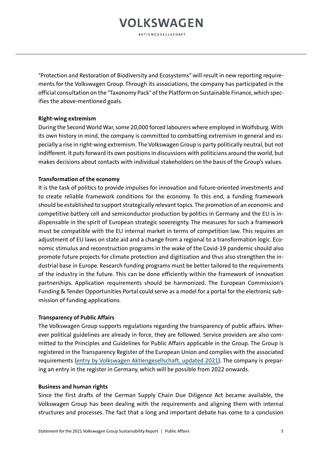**AKTIENGESELLSCHAFT** 

"Protection and Restoration of Biodiversity and Ecosystems" will result in new reporting requirements for the Volkswagen Group. Through its associations, the company has participated in the official consultation on the "Taxonomy Pack" of the Platform on Sustainable Finance, which specifies the above-mentioned goals.

#### <span id="page-9-0"></span>**Right-wing extremism**

During the Second World War, some 20,000 forced labourers where employed in Wolfsburg. With its own history in mind, the company is committed to combatting extremism in general and especially a rise in right-wing extremism. The Volkswagen Group is party politically neutral, but not indifferent. It puts forward its own positions in discussions with politicians around the world, but makes decisions about contacts with individual stakeholders on the basis of the Group's values.

#### <span id="page-9-1"></span>**Transformation of the economy**

It is the task of politics to provide impulses for innovation and future-oriented investments and to create reliable framework conditions for the economy. To this end, a funding framework should be established to support strategically relevant topics. The promotion of an economic and competitive battery cell and semiconductor production by politics in Germany and the EU is indispensable in the spirit of European strategic sovereignty. The measures for such a framework must be compatible with the EU internal market in terms of competition law. This requires an adjustment of EU laws on state aid and a change from a regional to a transformation logic. Economic stimulus and reconstruction programs in the wake of the Covid-19 pandemic should also promote future projects for climate protection and digitization and thus also strengthen the industrial base in Europe. Research funding programs must be better tailored to the requirements of the industry in the future. This can be done efficiently within the framework of innovation partnerships. Application requirements should be harmonized. The European Commission's Funding & Tender Opportunities Portal could serve as a model for a portal for the electronic submission of funding applications.

#### <span id="page-9-2"></span>**Transparency of Public Affairs**

The Volkswagen Group supports regulations regarding the transparency of public affairs. Wherever political guidelines are already in force, they are followed. Service providers are also committed to the Principles and Guidelines for Public Affairs applicable in the Group. The Group is registered in the Transparency Register of the European Union and complies with the associated requirements [\(entry by Volkswagen Aktiengesellschaft, updated 2021\)](https://ec.europa.eu/transparencyregister/public/consultation/displaylobbyist.do?id=6504541970-40). The company is preparing an entry in the register in Germany, which will be possible from 2022 onwards.

#### <span id="page-9-3"></span>**Business and human rights**

Since the first drafts of the German Supply Chain Due Diligence Act became available, the Volkswagen Group has been dealing with the requirements and aligning them with internal structures and processes. The fact that a long and important debate has come to a conclusion